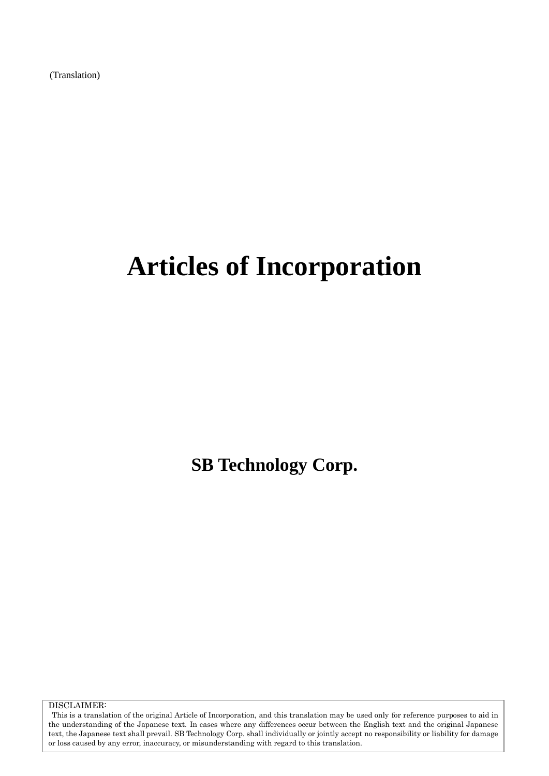(Translation)

# **Articles of Incorporation**

**SB Technology Corp.**

DISCLAIMER:

This is a translation of the original Article of Incorporation, and this translation may be used only for reference purposes to aid in the understanding of the Japanese text. In cases where any differences occur between the English text and the original Japanese text, the Japanese text shall prevail. SB Technology Corp. shall individually or jointly accept no responsibility or liability for damage or loss caused by any error, inaccuracy, or misunderstanding with regard to this translation.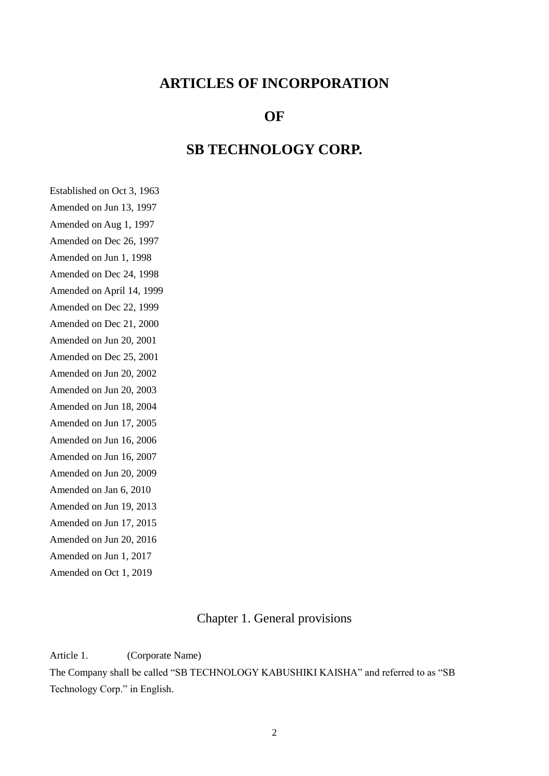## **ARTICLES OF INCORPORATION**

## **OF**

## **SB TECHNOLOGY CORP.**

Established on Oct 3, 1963 Amended on Jun 13, 1997 Amended on Aug 1, 1997 Amended on Dec 26, 1997 Amended on Jun 1, 1998 Amended on Dec 24, 1998 Amended on April 14, 1999 Amended on Dec 22, 1999 Amended on Dec 21, 2000 Amended on Jun 20, 2001 Amended on Dec 25, 2001 Amended on Jun 20, 2002 Amended on Jun 20, 2003 Amended on Jun 18, 2004 Amended on Jun 17, 2005 Amended on Jun 16, 2006 Amended on Jun 16, 2007 Amended on Jun 20, 2009 Amended on Jan 6, 2010 Amended on Jun 19, 2013 Amended on Jun 17, 2015 Amended on Jun 20, 2016 Amended on Jun 1, 2017 Amended on Oct 1, 2019

## Chapter 1. General provisions

Article 1. (Corporate Name)

The Company shall be called "SB TECHNOLOGY KABUSHIKI KAISHA" and referred to as "SB Technology Corp." in English.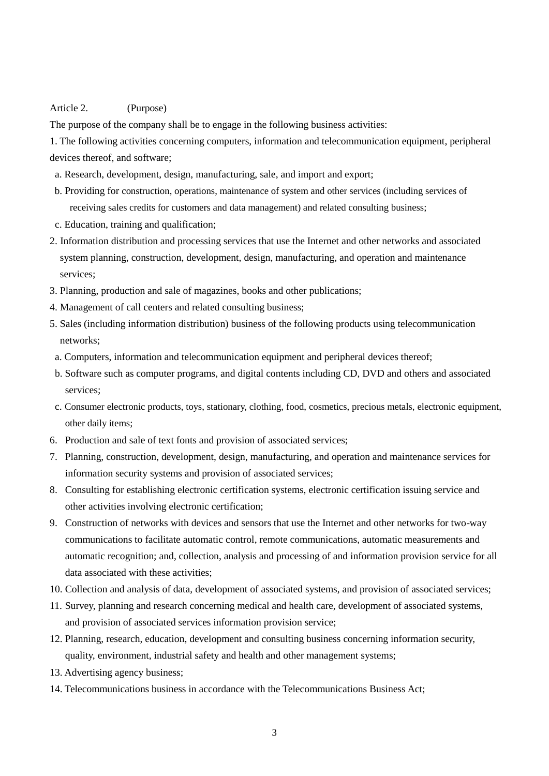#### Article 2. (Purpose)

The purpose of the company shall be to engage in the following business activities:

1. The following activities concerning computers, information and telecommunication equipment, peripheral devices thereof, and software;

- a. Research, development, design, manufacturing, sale, and import and export;
- b. Providing for construction, operations, maintenance of system and other services (including services of receiving sales credits for customers and data management) and related consulting business;
- c. Education, training and qualification;
- 2. Information distribution and processing services that use the Internet and other networks and associated system planning, construction, development, design, manufacturing, and operation and maintenance services;
- 3. Planning, production and sale of magazines, books and other publications;
- 4. Management of call centers and related consulting business;
- 5. Sales (including information distribution) business of the following products using telecommunication networks;
- a. Computers, information and telecommunication equipment and peripheral devices thereof;
- b. Software such as computer programs, and digital contents including CD, DVD and others and associated services;
- c. Consumer electronic products, toys, stationary, clothing, food, cosmetics, precious metals, electronic equipment, other daily items;
- 6. Production and sale of text fonts and provision of associated services;
- 7. Planning, construction, development, design, manufacturing, and operation and maintenance services for information security systems and provision of associated services;
- 8. Consulting for establishing electronic certification systems, electronic certification issuing service and other activities involving electronic certification;
- 9. Construction of networks with devices and sensors that use the Internet and other networks for two-way communications to facilitate automatic control, remote communications, automatic measurements and automatic recognition; and, collection, analysis and processing of and information provision service for all data associated with these activities;
- 10. Collection and analysis of data, development of associated systems, and provision of associated services;
- 11. Survey, planning and research concerning medical and health care, development of associated systems, and provision of associated services information provision service;
- 12. Planning, research, education, development and consulting business concerning information security, quality, environment, industrial safety and health and other management systems;
- 13. Advertising agency business;
- 14. Telecommunications business in accordance with the Telecommunications Business Act;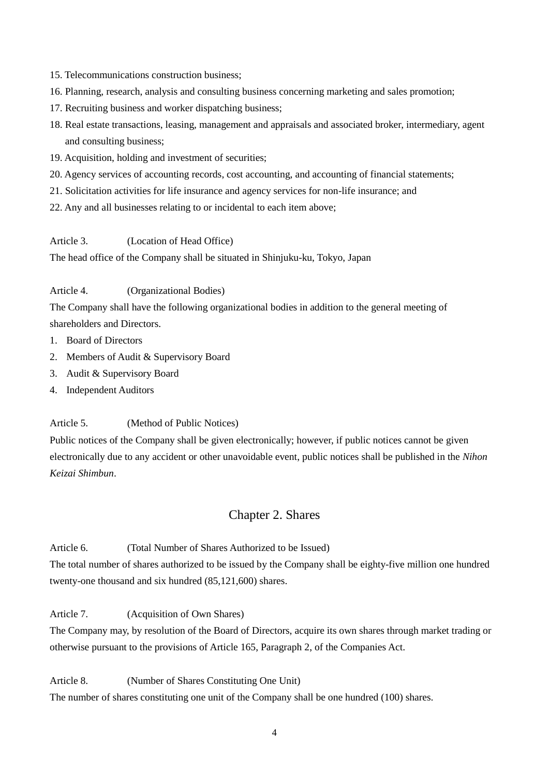- 15. Telecommunications construction business;
- 16. Planning, research, analysis and consulting business concerning marketing and sales promotion;
- 17. Recruiting business and worker dispatching business;
- 18. Real estate transactions, leasing, management and appraisals and associated broker, intermediary, agent and consulting business;
- 19. Acquisition, holding and investment of securities;
- 20. Agency services of accounting records, cost accounting, and accounting of financial statements;
- 21. Solicitation activities for life insurance and agency services for non-life insurance; and
- 22. Any and all businesses relating to or incidental to each item above;

Article 3. (Location of Head Office)

The head office of the Company shall be situated in Shinjuku-ku, Tokyo, Japan

Article 4. (Organizational Bodies)

The Company shall have the following organizational bodies in addition to the general meeting of shareholders and Directors.

- 1. Board of Directors
- 2. Members of Audit & Supervisory Board
- 3. Audit & Supervisory Board
- 4. Independent Auditors

Article 5. (Method of Public Notices)

Public notices of the Company shall be given electronically; however, if public notices cannot be given electronically due to any accident or other unavoidable event, public notices shall be published in the *Nihon Keizai Shimbun*.

#### Chapter 2. Shares

Article 6. (Total Number of Shares Authorized to be Issued)

The total number of shares authorized to be issued by the Company shall be eighty-five million one hundred twenty-one thousand and six hundred (85,121,600) shares.

Article 7. (Acquisition of Own Shares)

The Company may, by resolution of the Board of Directors, acquire its own shares through market trading or otherwise pursuant to the provisions of Article 165, Paragraph 2, of the Companies Act.

Article 8. (Number of Shares Constituting One Unit)

The number of shares constituting one unit of the Company shall be one hundred (100) shares.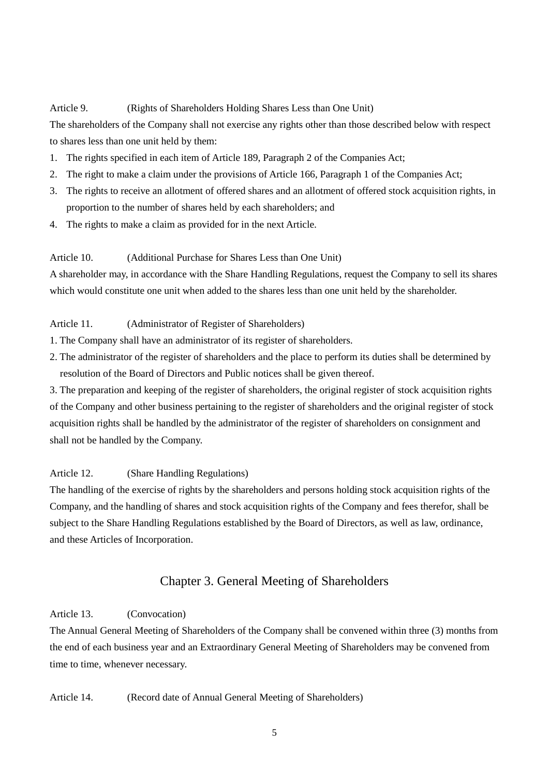#### Article 9. (Rights of Shareholders Holding Shares Less than One Unit)

The shareholders of the Company shall not exercise any rights other than those described below with respect to shares less than one unit held by them:

- 1. The rights specified in each item of Article 189, Paragraph 2 of the Companies Act;
- 2. The right to make a claim under the provisions of Article 166, Paragraph 1 of the Companies Act;
- 3. The rights to receive an allotment of offered shares and an allotment of offered stock acquisition rights, in proportion to the number of shares held by each shareholders; and
- 4. The rights to make a claim as provided for in the next Article.

#### Article 10. (Additional Purchase for Shares Less than One Unit)

A shareholder may, in accordance with the Share Handling Regulations, request the Company to sell its shares which would constitute one unit when added to the shares less than one unit held by the shareholder.

#### Article 11. (Administrator of Register of Shareholders)

- 1. The Company shall have an administrator of its register of shareholders.
- 2. The administrator of the register of shareholders and the place to perform its duties shall be determined by resolution of the Board of Directors and Public notices shall be given thereof.

3. The preparation and keeping of the register of shareholders, the original register of stock acquisition rights of the Company and other business pertaining to the register of shareholders and the original register of stock acquisition rights shall be handled by the administrator of the register of shareholders on consignment and shall not be handled by the Company.

#### Article 12. (Share Handling Regulations)

The handling of the exercise of rights by the shareholders and persons holding stock acquisition rights of the Company, and the handling of shares and stock acquisition rights of the Company and fees therefor, shall be subject to the Share Handling Regulations established by the Board of Directors, as well as law, ordinance, and these Articles of Incorporation.

### Chapter 3. General Meeting of Shareholders

#### Article 13. (Convocation)

The Annual General Meeting of Shareholders of the Company shall be convened within three (3) months from the end of each business year and an Extraordinary General Meeting of Shareholders may be convened from time to time, whenever necessary.

#### Article 14. (Record date of Annual General Meeting of Shareholders)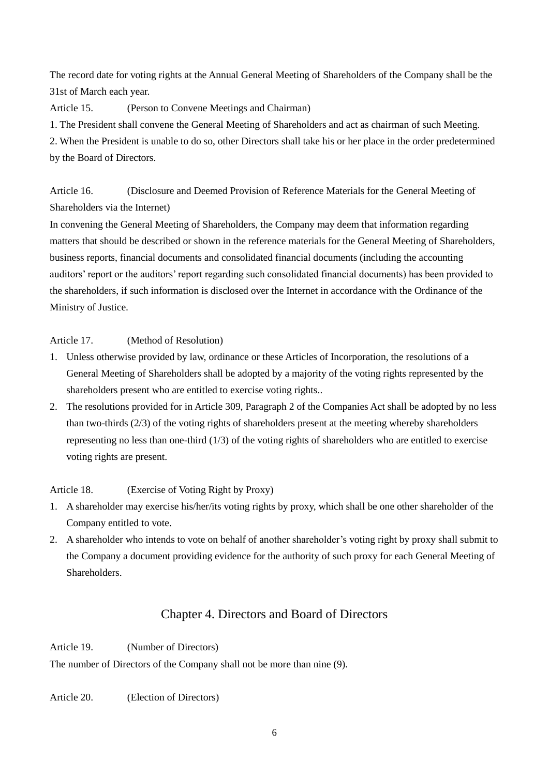The record date for voting rights at the Annual General Meeting of Shareholders of the Company shall be the 31st of March each year.

Article 15. (Person to Convene Meetings and Chairman)

1. The President shall convene the General Meeting of Shareholders and act as chairman of such Meeting.

2. When the President is unable to do so, other Directors shall take his or her place in the order predetermined by the Board of Directors.

Article 16. (Disclosure and Deemed Provision of Reference Materials for the General Meeting of Shareholders via the Internet)

In convening the General Meeting of Shareholders, the Company may deem that information regarding matters that should be described or shown in the reference materials for the General Meeting of Shareholders, business reports, financial documents and consolidated financial documents (including the accounting auditors' report or the auditors' report regarding such consolidated financial documents) has been provided to the shareholders, if such information is disclosed over the Internet in accordance with the Ordinance of the Ministry of Justice.

Article 17. (Method of Resolution)

- 1. Unless otherwise provided by law, ordinance or these Articles of Incorporation, the resolutions of a General Meeting of Shareholders shall be adopted by a majority of the voting rights represented by the shareholders present who are entitled to exercise voting rights..
- 2. The resolutions provided for in Article 309, Paragraph 2 of the Companies Act shall be adopted by no less than two-thirds (2/3) of the voting rights of shareholders present at the meeting whereby shareholders representing no less than one-third (1/3) of the voting rights of shareholders who are entitled to exercise voting rights are present.

Article 18. (Exercise of Voting Right by Proxy)

- 1. A shareholder may exercise his/her/its voting rights by proxy, which shall be one other shareholder of the Company entitled to vote.
- 2. A shareholder who intends to vote on behalf of another shareholder's voting right by proxy shall submit to the Company a document providing evidence for the authority of such proxy for each General Meeting of Shareholders.

## Chapter 4. Directors and Board of Directors

Article 19. (Number of Directors)

The number of Directors of the Company shall not be more than nine (9).

Article 20. (Election of Directors)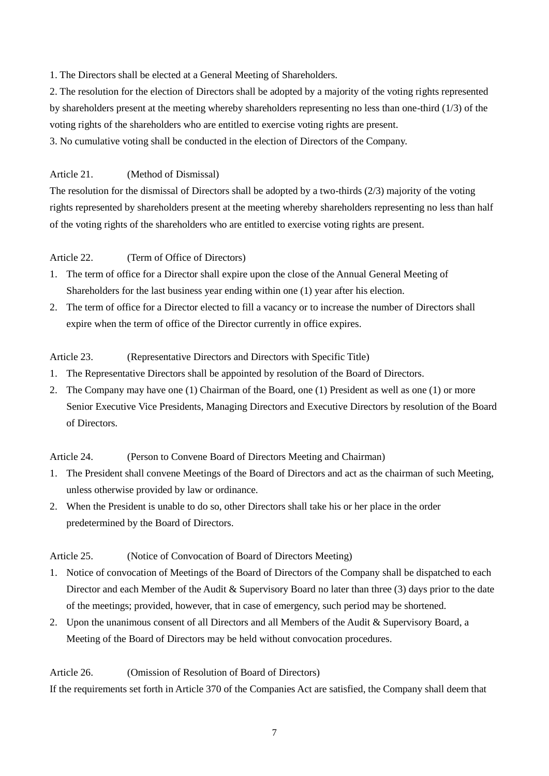1. The Directors shall be elected at a General Meeting of Shareholders.

2. The resolution for the election of Directors shall be adopted by a majority of the voting rights represented by shareholders present at the meeting whereby shareholders representing no less than one-third (1/3) of the voting rights of the shareholders who are entitled to exercise voting rights are present.

3. No cumulative voting shall be conducted in the election of Directors of the Company.

#### Article 21. (Method of Dismissal)

The resolution for the dismissal of Directors shall be adopted by a two-thirds (2/3) majority of the voting rights represented by shareholders present at the meeting whereby shareholders representing no less than half of the voting rights of the shareholders who are entitled to exercise voting rights are present.

#### Article 22. (Term of Office of Directors)

- 1. The term of office for a Director shall expire upon the close of the Annual General Meeting of Shareholders for the last business year ending within one (1) year after his election.
- 2. The term of office for a Director elected to fill a vacancy or to increase the number of Directors shall expire when the term of office of the Director currently in office expires.

#### Article 23. (Representative Directors and Directors with Specific Title)

- 1. The Representative Directors shall be appointed by resolution of the Board of Directors.
- 2. The Company may have one (1) Chairman of the Board, one (1) President as well as one (1) or more Senior Executive Vice Presidents, Managing Directors and Executive Directors by resolution of the Board of Directors.

Article 24. (Person to Convene Board of Directors Meeting and Chairman)

- 1. The President shall convene Meetings of the Board of Directors and act as the chairman of such Meeting, unless otherwise provided by law or ordinance.
- 2. When the President is unable to do so, other Directors shall take his or her place in the order predetermined by the Board of Directors.

#### Article 25. (Notice of Convocation of Board of Directors Meeting)

- 1. Notice of convocation of Meetings of the Board of Directors of the Company shall be dispatched to each Director and each Member of the Audit & Supervisory Board no later than three (3) days prior to the date of the meetings; provided, however, that in case of emergency, such period may be shortened.
- 2. Upon the unanimous consent of all Directors and all Members of the Audit & Supervisory Board, a Meeting of the Board of Directors may be held without convocation procedures.

#### Article 26. (Omission of Resolution of Board of Directors)

If the requirements set forth in Article 370 of the Companies Act are satisfied, the Company shall deem that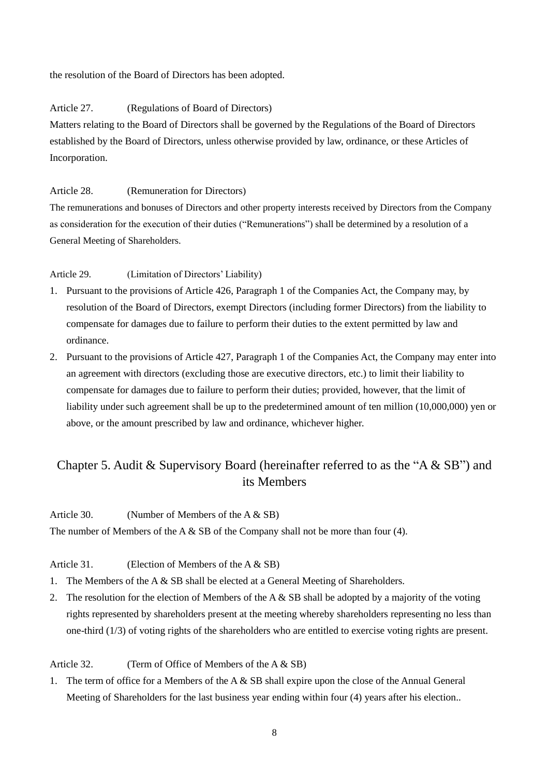the resolution of the Board of Directors has been adopted.

#### Article 27. (Regulations of Board of Directors)

Matters relating to the Board of Directors shall be governed by the Regulations of the Board of Directors established by the Board of Directors, unless otherwise provided by law, ordinance, or these Articles of Incorporation.

#### Article 28. (Remuneration for Directors)

The remunerations and bonuses of Directors and other property interests received by Directors from the Company as consideration for the execution of their duties ("Remunerations") shall be determined by a resolution of a General Meeting of Shareholders.

#### Article 29. (Limitation of Directors' Liability)

- 1. Pursuant to the provisions of Article 426, Paragraph 1 of the Companies Act, the Company may, by resolution of the Board of Directors, exempt Directors (including former Directors) from the liability to compensate for damages due to failure to perform their duties to the extent permitted by law and ordinance.
- 2. Pursuant to the provisions of Article 427, Paragraph 1 of the Companies Act, the Company may enter into an agreement with directors (excluding those are executive directors, etc.) to limit their liability to compensate for damages due to failure to perform their duties; provided, however, that the limit of liability under such agreement shall be up to the predetermined amount of ten million (10,000,000) yen or above, or the amount prescribed by law and ordinance, whichever higher.

## Chapter 5. Audit & Supervisory Board (hereinafter referred to as the "A & SB") and its Members

#### Article 30. (Number of Members of the A & SB)

The number of Members of the A & SB of the Company shall not be more than four (4).

#### Article 31. (Election of Members of the A & SB)

- 1. The Members of the A & SB shall be elected at a General Meeting of Shareholders.
- 2. The resolution for the election of Members of the A  $\&$  SB shall be adopted by a majority of the voting rights represented by shareholders present at the meeting whereby shareholders representing no less than one-third (1/3) of voting rights of the shareholders who are entitled to exercise voting rights are present.

#### Article 32. (Term of Office of Members of the A & SB)

1. The term of office for a Members of the A  $\&$  SB shall expire upon the close of the Annual General Meeting of Shareholders for the last business year ending within four (4) years after his election..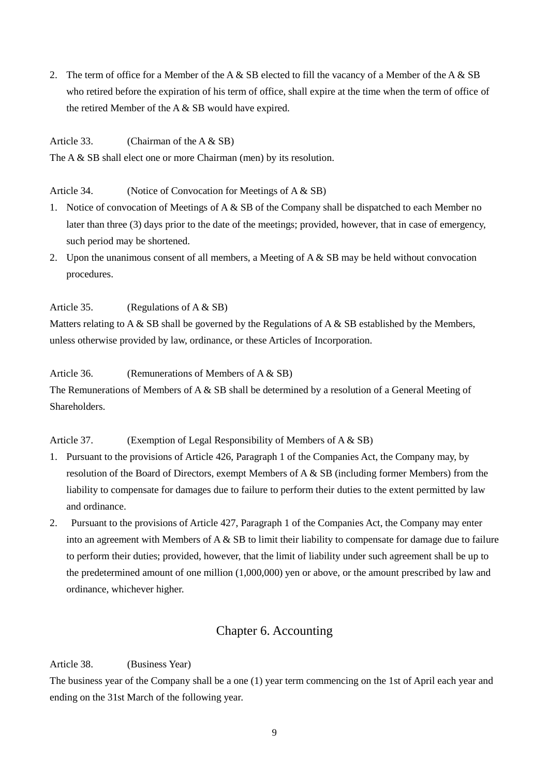2. The term of office for a Member of the A  $\&$  SB elected to fill the vacancy of a Member of the A  $\&$  SB who retired before the expiration of his term of office, shall expire at the time when the term of office of the retired Member of the A & SB would have expired.

Article 33. (Chairman of the A & SB)

The A & SB shall elect one or more Chairman (men) by its resolution.

Article 34. (Notice of Convocation for Meetings of A & SB)

- 1. Notice of convocation of Meetings of A & SB of the Company shall be dispatched to each Member no later than three (3) days prior to the date of the meetings; provided, however, that in case of emergency, such period may be shortened.
- 2. Upon the unanimous consent of all members, a Meeting of A  $\&$  SB may be held without convocation procedures.

Article 35. (Regulations of A & SB)

Matters relating to A & SB shall be governed by the Regulations of A & SB established by the Members, unless otherwise provided by law, ordinance, or these Articles of Incorporation.

Article 36. (Remunerations of Members of A & SB)

The Remunerations of Members of A & SB shall be determined by a resolution of a General Meeting of Shareholders.

Article 37. (Exemption of Legal Responsibility of Members of A & SB)

- 1. Pursuant to the provisions of Article 426, Paragraph 1 of the Companies Act, the Company may, by resolution of the Board of Directors, exempt Members of  $A \& SB$  (including former Members) from the liability to compensate for damages due to failure to perform their duties to the extent permitted by law and ordinance.
- 2. Pursuant to the provisions of Article 427, Paragraph 1 of the Companies Act, the Company may enter into an agreement with Members of  $A \& S\&set$  to limit their liability to compensate for damage due to failure to perform their duties; provided, however, that the limit of liability under such agreement shall be up to the predetermined amount of one million (1,000,000) yen or above, or the amount prescribed by law and ordinance, whichever higher.

## Chapter 6. Accounting

Article 38. (Business Year)

The business year of the Company shall be a one (1) year term commencing on the 1st of April each year and ending on the 31st March of the following year.